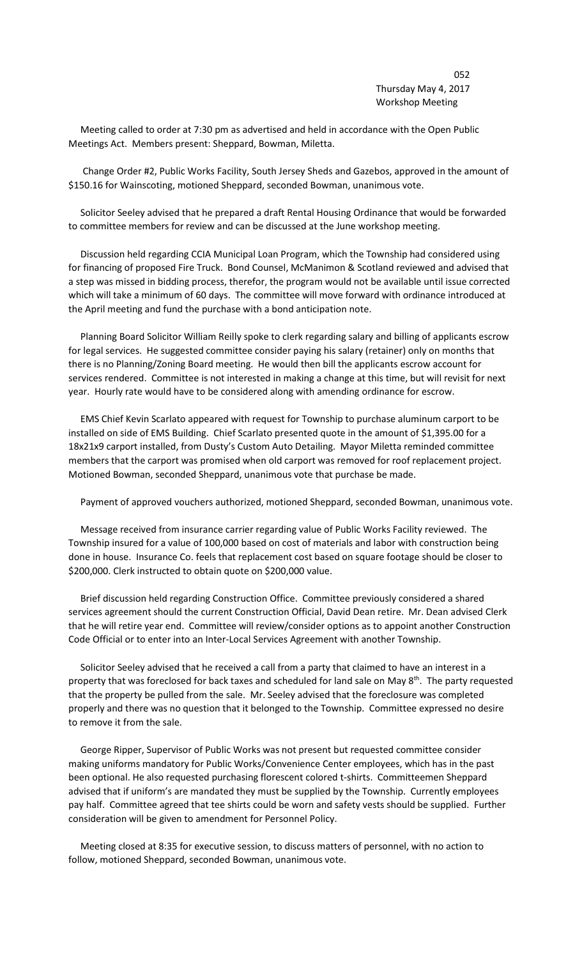## 052 Thursday May 4, 2017 Workshop Meeting

 Meeting called to order at 7:30 pm as advertised and held in accordance with the Open Public Meetings Act. Members present: Sheppard, Bowman, Miletta.

 Change Order #2, Public Works Facility, South Jersey Sheds and Gazebos, approved in the amount of \$150.16 for Wainscoting, motioned Sheppard, seconded Bowman, unanimous vote.

 Solicitor Seeley advised that he prepared a draft Rental Housing Ordinance that would be forwarded to committee members for review and can be discussed at the June workshop meeting.

 Discussion held regarding CCIA Municipal Loan Program, which the Township had considered using for financing of proposed Fire Truck. Bond Counsel, McManimon & Scotland reviewed and advised that a step was missed in bidding process, therefor, the program would not be available until issue corrected which will take a minimum of 60 days. The committee will move forward with ordinance introduced at the April meeting and fund the purchase with a bond anticipation note.

 Planning Board Solicitor William Reilly spoke to clerk regarding salary and billing of applicants escrow for legal services. He suggested committee consider paying his salary (retainer) only on months that there is no Planning/Zoning Board meeting. He would then bill the applicants escrow account for services rendered. Committee is not interested in making a change at this time, but will revisit for next year. Hourly rate would have to be considered along with amending ordinance for escrow.

 EMS Chief Kevin Scarlato appeared with request for Township to purchase aluminum carport to be installed on side of EMS Building. Chief Scarlato presented quote in the amount of \$1,395.00 for a 18x21x9 carport installed, from Dusty's Custom Auto Detailing. Mayor Miletta reminded committee members that the carport was promised when old carport was removed for roof replacement project. Motioned Bowman, seconded Sheppard, unanimous vote that purchase be made.

Payment of approved vouchers authorized, motioned Sheppard, seconded Bowman, unanimous vote.

 Message received from insurance carrier regarding value of Public Works Facility reviewed. The Township insured for a value of 100,000 based on cost of materials and labor with construction being done in house. Insurance Co. feels that replacement cost based on square footage should be closer to \$200,000. Clerk instructed to obtain quote on \$200,000 value.

 Brief discussion held regarding Construction Office. Committee previously considered a shared services agreement should the current Construction Official, David Dean retire. Mr. Dean advised Clerk that he will retire year end. Committee will review/consider options as to appoint another Construction Code Official or to enter into an Inter-Local Services Agreement with another Township.

 Solicitor Seeley advised that he received a call from a party that claimed to have an interest in a property that was foreclosed for back taxes and scheduled for land sale on May 8<sup>th</sup>. The party requested that the property be pulled from the sale. Mr. Seeley advised that the foreclosure was completed properly and there was no question that it belonged to the Township. Committee expressed no desire to remove it from the sale.

 George Ripper, Supervisor of Public Works was not present but requested committee consider making uniforms mandatory for Public Works/Convenience Center employees, which has in the past been optional. He also requested purchasing florescent colored t-shirts. Committeemen Sheppard advised that if uniform's are mandated they must be supplied by the Township. Currently employees pay half. Committee agreed that tee shirts could be worn and safety vests should be supplied. Further consideration will be given to amendment for Personnel Policy.

 Meeting closed at 8:35 for executive session, to discuss matters of personnel, with no action to follow, motioned Sheppard, seconded Bowman, unanimous vote.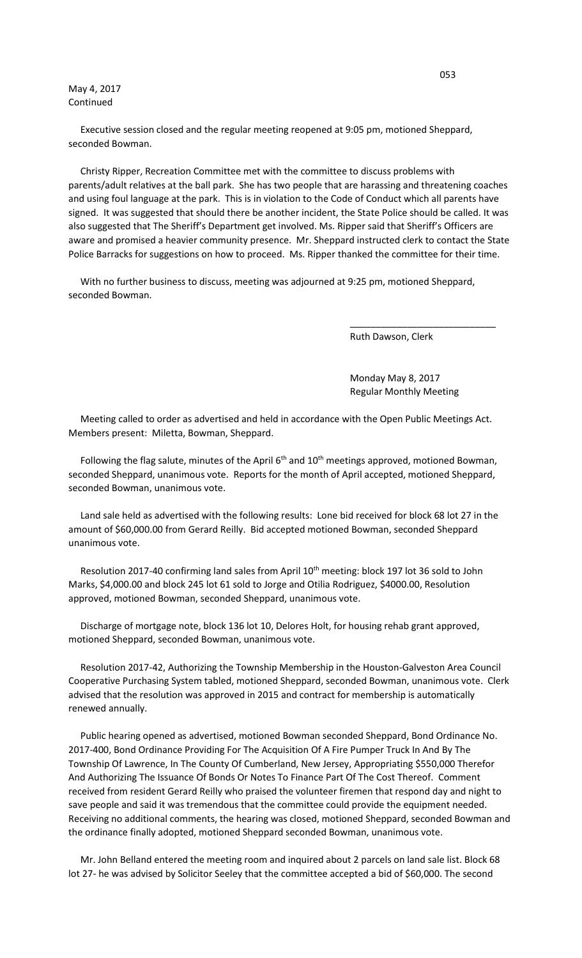### May 4, 2017 Continued

 Executive session closed and the regular meeting reopened at 9:05 pm, motioned Sheppard, seconded Bowman.

 Christy Ripper, Recreation Committee met with the committee to discuss problems with parents/adult relatives at the ball park. She has two people that are harassing and threatening coaches and using foul language at the park. This is in violation to the Code of Conduct which all parents have signed. It was suggested that should there be another incident, the State Police should be called. It was also suggested that The Sheriff's Department get involved. Ms. Ripper said that Sheriff's Officers are aware and promised a heavier community presence. Mr. Sheppard instructed clerk to contact the State Police Barracks for suggestions on how to proceed. Ms. Ripper thanked the committee for their time.

 With no further business to discuss, meeting was adjourned at 9:25 pm, motioned Sheppard, seconded Bowman.

 $\overline{\phantom{a}}$  , and the contract of the contract of the contract of the contract of the contract of the contract of the contract of the contract of the contract of the contract of the contract of the contract of the contrac

Ruth Dawson, Clerk

 Monday May 8, 2017 Regular Monthly Meeting

 Meeting called to order as advertised and held in accordance with the Open Public Meetings Act. Members present: Miletta, Bowman, Sheppard.

Following the flag salute, minutes of the April  $6<sup>th</sup>$  and  $10<sup>th</sup>$  meetings approved, motioned Bowman, seconded Sheppard, unanimous vote. Reports for the month of April accepted, motioned Sheppard, seconded Bowman, unanimous vote.

 Land sale held as advertised with the following results: Lone bid received for block 68 lot 27 in the amount of \$60,000.00 from Gerard Reilly. Bid accepted motioned Bowman, seconded Sheppard unanimous vote.

Resolution 2017-40 confirming land sales from April 10<sup>th</sup> meeting: block 197 lot 36 sold to John Marks, \$4,000.00 and block 245 lot 61 sold to Jorge and Otilia Rodriguez, \$4000.00, Resolution approved, motioned Bowman, seconded Sheppard, unanimous vote.

 Discharge of mortgage note, block 136 lot 10, Delores Holt, for housing rehab grant approved, motioned Sheppard, seconded Bowman, unanimous vote.

 Resolution 2017-42, Authorizing the Township Membership in the Houston-Galveston Area Council Cooperative Purchasing System tabled, motioned Sheppard, seconded Bowman, unanimous vote. Clerk advised that the resolution was approved in 2015 and contract for membership is automatically renewed annually.

 Public hearing opened as advertised, motioned Bowman seconded Sheppard, Bond Ordinance No. 2017-400, Bond Ordinance Providing For The Acquisition Of A Fire Pumper Truck In And By The Township Of Lawrence, In The County Of Cumberland, New Jersey, Appropriating \$550,000 Therefor And Authorizing The Issuance Of Bonds Or Notes To Finance Part Of The Cost Thereof. Comment received from resident Gerard Reilly who praised the volunteer firemen that respond day and night to save people and said it was tremendous that the committee could provide the equipment needed. Receiving no additional comments, the hearing was closed, motioned Sheppard, seconded Bowman and the ordinance finally adopted, motioned Sheppard seconded Bowman, unanimous vote.

 Mr. John Belland entered the meeting room and inquired about 2 parcels on land sale list. Block 68 lot 27- he was advised by Solicitor Seeley that the committee accepted a bid of \$60,000. The second